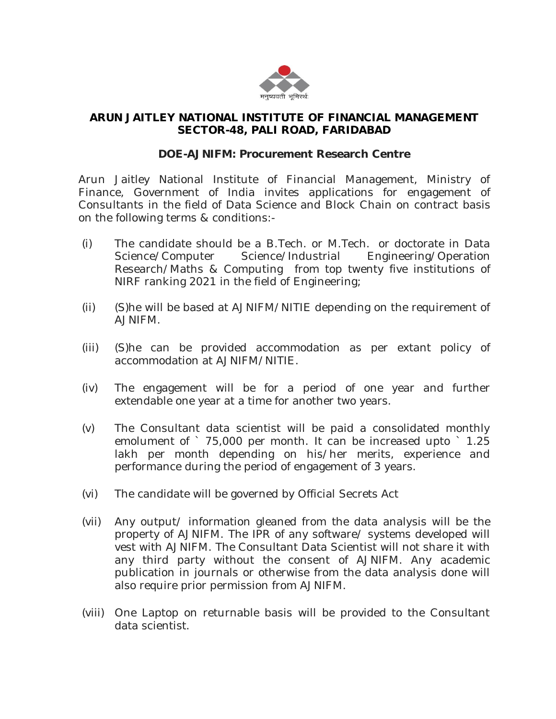

## **ARUN JAITLEY NATIONAL INSTITUTE OF FINANCIAL MANAGEMENT SECTOR-48, PALI ROAD, FARIDABAD**

## **DOE-AJNIFM: Procurement Research Centre**

Arun Jaitley National Institute of Financial Management, Ministry of Finance, Government of India invites applications for engagement of Consultants in the field of Data Science and Block Chain on contract basis on the following terms & conditions:-

- (i) The candidate should be a B.Tech. or M.Tech. or doctorate in Data Science/Computer Science/Industrial Engineering/Operation Research/Maths & Computing from top twenty five institutions of NIRF ranking 2021 in the field of Engineering;
- (ii) (S)he will be based at AJNIFM/NITIE depending on the requirement of AJNIFM.
- (iii) (S)he can be provided accommodation as per extant policy of accommodation at AJNIFM/NITIE.
- (iv) The engagement will be for a period of one year and further extendable one year at a time for another two years.
- (v) The Consultant data scientist will be paid a consolidated monthly emolument of `75,000 per month. It can be increased upto `1.25 lakh per month depending on his/her merits, experience and performance during the period of engagement of 3 years.
- (vi) The candidate will be governed by Official Secrets Act
- (vii) Any output/ information gleaned from the data analysis will be the property of AJNIFM. The IPR of any software/ systems developed will vest with AJNIFM. The Consultant Data Scientist will not share it with any third party without the consent of AJNIFM. Any academic publication in journals or otherwise from the data analysis done will also require prior permission from AJNIFM.
- (viii) One Laptop on returnable basis will be provided to the Consultant data scientist.